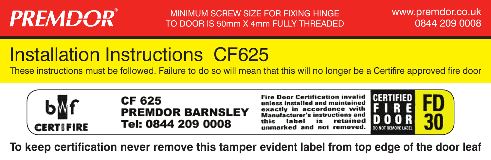# **PREMDOR®**

MINIMUM SCREW SIZE FOR FIXING HINGE TO DOOR IS 50mm X 4mm FULLY THREADED www.premdor.co.uk 0844 209 0008

# Installation Instructions CF625

These instructions must be followed. Failure to do so will mean that this will no longer be a Certifire approved fire door



**To keep certification never remove this tamper evident label from top edge of the door leaf**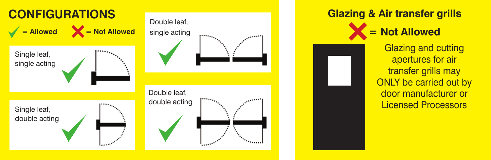



**Glazing & Air transfer grills = Not Allowed** Glazing and cutting apertures for air transfer grills may ONLY be carried out by door manufacturer or Licensed Processors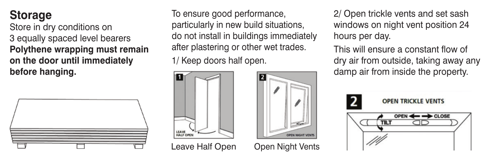## **Storage**

Store in dry conditions on 3 equally spaced level bearers **Polythene wrapping must remain on the door until immediately before hanging.**



To ensure good performance, particularly in new build situations, do not install in buildings immediately after plastering or other wet trades. 1/ Keep doors half open.



Leave Half Open Open Night Vents

2/ Open trickle vents and set sash windows on night vent position 24 hours per day.

This will ensure a constant flow of dry air from outside, taking away any damp air from inside the property.

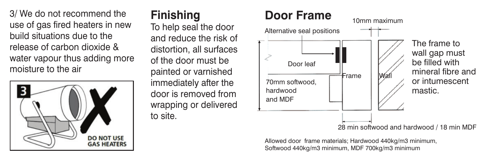3/ We do not recommend the use of gas fired heaters in new build situations due to the release of carbon dioxide & water vapour thus adding more moisture to the air



#### **Finishing**

To help seal the door and reduce the risk of distortion, all surfaces of the door must be painted or varnished immediately after the door is removed from wrapping or delivered to site.

# **Door Frame**



Allowed door frame materials; Hardwood 440kg/m3 minimum, Softwood 440kg/m3 minimum, MDF 700kg/m3 minimum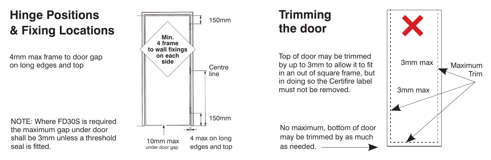# **Hinge Positions & Fixing Locations**

4mm max frame to door gap<br>on long edges and top

NOTE: Where FD30S is required the maximum gap under door shall be 3mm unless a threshold seal is fitted.



## **Trimming the door**

Top of door may be trimmed in an out of square frame, but in doing so the Certifire label must not be removed.

No maximum, bottom of door may be trimmed by as much as needed.

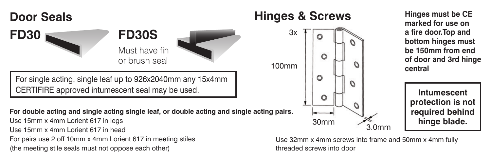

(the meeting stile seals must not oppose each other)

threaded screws into door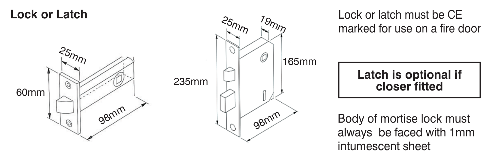